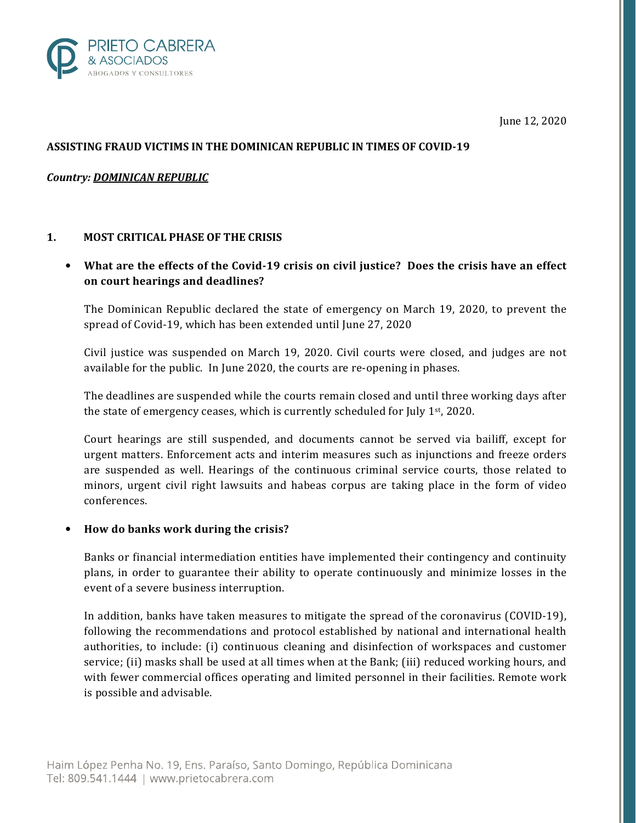

June 12, 2020

# ASSISTING FRAUD VICTIMS IN THE DOMINICAN REPUBLIC IN TIMES OF COVID-19

# Country: DOMINICAN REPUBLIC

### 1. MOST CRITICAL PHASE OF THE CRISIS

• What are the effects of the Covid-19 crisis on civil justice? Does the crisis have an effect on court hearings and deadlines?

The Dominican Republic declared the state of emergency on March 19, 2020, to prevent the spread of Covid-19, which has been extended until June 27, 2020

Civil justice was suspended on March 19, 2020. Civil courts were closed, and judges are not available for the public. In June 2020, the courts are re-opening in phases.

The deadlines are suspended while the courts remain closed and until three working days after the state of emergency ceases, which is currently scheduled for July 1st, 2020.

Court hearings are still suspended, and documents cannot be served via bailiff, except for urgent matters. Enforcement acts and interim measures such as injunctions and freeze orders are suspended as well. Hearings of the continuous criminal service courts, those related to minors, urgent civil right lawsuits and habeas corpus are taking place in the form of video conferences.

#### • How do banks work during the crisis?

Banks or financial intermediation entities have implemented their contingency and continuity plans, in order to guarantee their ability to operate continuously and minimize losses in the event of a severe business interruption.

In addition, banks have taken measures to mitigate the spread of the coronavirus (COVID-19), following the recommendations and protocol established by national and international health authorities, to include: (i) continuous cleaning and disinfection of workspaces and customer service; (ii) masks shall be used at all times when at the Bank; (iii) reduced working hours, and with fewer commercial offices operating and limited personnel in their facilities. Remote work is possible and advisable.